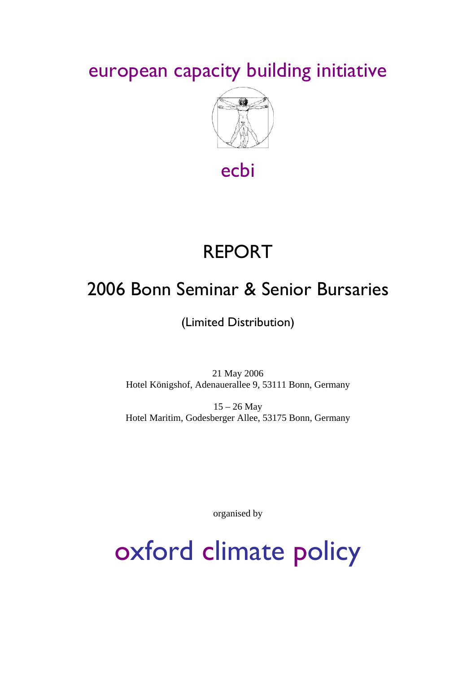european capacity building initiative



ecbi

# REPORT

# 2006 Bonn Seminar & Senior Bursaries

(Limited Distribution)

21 May 2006 Hotel Königshof, Adenauerallee 9, 53111 Bonn, Germany

15 – 26 May Hotel Maritim, Godesberger Allee, 53175 Bonn, Germany

organised by

oxford climate policy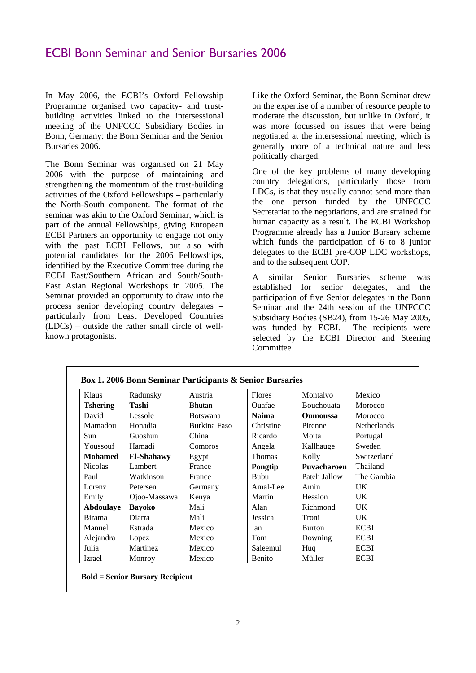# ECBI Bonn Seminar and Senior Bursaries 2006

In May 2006, the ECBI's Oxford Fellowship Programme organised two capacity- and trustbuilding activities linked to the intersessional meeting of the UNFCCC Subsidiary Bodies in Bonn, Germany: the Bonn Seminar and the Senior Bursaries 2006.

The Bonn Seminar was organised on 21 May 2006 with the purpose of maintaining and strengthening the momentum of the trust-building activities of the Oxford Fellowships – particularly the North-South component. The format of the seminar was akin to the Oxford Seminar, which is part of the annual Fellowships, giving European ECBI Partners an opportunity to engage not only with the past ECBI Fellows, but also with potential candidates for the 2006 Fellowships, identified by the Executive Committee during the ECBI East/Southern African and South/South-East Asian Regional Workshops in 2005. The Seminar provided an opportunity to draw into the process senior developing country delegates – particularly from Least Developed Countries (LDCs) – outside the rather small circle of wellknown protagonists.

Like the Oxford Seminar, the Bonn Seminar drew on the expertise of a number of resource people to moderate the discussion, but unlike in Oxford, it was more focussed on issues that were being negotiated at the intersessional meeting, which is generally more of a technical nature and less politically charged.

One of the key problems of many developing country delegations, particularly those from LDCs, is that they usually cannot send more than the one person funded by the UNFCCC Secretariat to the negotiations, and are strained for human capacity as a result. The ECBI Workshop Programme already has a Junior Bursary scheme which funds the participation of 6 to 8 junior delegates to the ECBI pre-COP LDC workshops, and to the subsequent COP.

A similar Senior Bursaries scheme was established for senior delegates, and the participation of five Senior delegates in the Bonn Seminar and the 24th session of the UNFCCC Subsidiary Bodies (SB24), from 15-26 May 2005, was funded by ECBI. The recipients were selected by the ECBI Director and Steering **Committee** 

| Box 1. 2006 Bonn Seminar Participants & Senior Bursaries |                   |                 |               |                 |                    |
|----------------------------------------------------------|-------------------|-----------------|---------------|-----------------|--------------------|
| Klaus                                                    | Radunsky          | Austria         | <b>Flores</b> | Montalyo        | Mexico             |
| <b>Tshering</b>                                          | Tashi             | <b>Bhutan</b>   | Ouafae        | Bouchouata      | Morocco            |
| David                                                    | Lessole           | <b>Botswana</b> | <b>Naima</b>  | <b>Oumoussa</b> | Morocco            |
| Mamadou                                                  | Honadia           | Burkina Faso    | Christine     | Pirenne         | <b>Netherlands</b> |
| Sun                                                      | Guoshun           | China           | Ricardo       | Moita           | Portugal           |
| Youssouf                                                 | Hamadi            | Comoros         | Angela        | Kallhauge       | Sweden             |
| <b>Mohamed</b>                                           | <b>El-Shahawy</b> | Egypt           | Thomas        | Kolly           | Switzerland        |
| <b>Nicolas</b>                                           | Lambert           | France          | Pongtip       | Puvacharoen     | Thailand           |
| Paul                                                     | Watkinson         | France          | <b>Bubu</b>   | Pateh Jallow    | The Gambia         |
| Lorenz                                                   | Petersen          | Germany         | Amal-Lee      | Amin            | UK.                |
| Emily                                                    | Ojoo-Massawa      | Kenya           | Martin        | Hession         | UK.                |
| Abdoulaye                                                | <b>Bayoko</b>     | Mali            | Alan          | Richmond        | UK.                |
| Birama                                                   | Diarra            | Mali            | Jessica       | Troni           | UK.                |
| Manuel                                                   | Estrada           | Mexico          | Ian           | Burton          | <b>ECBI</b>        |
| Alejandra                                                | Lopez             | Mexico          | Tom           | Downing         | <b>ECBI</b>        |
| Julia                                                    | Martinez          | Mexico          | Saleemul      | Huq             | <b>ECBI</b>        |
| Izrael                                                   | Monroy            | Mexico          | Benito        | Müller          | <b>ECBI</b>        |
| <b>Bold = Senior Bursary Recipient</b>                   |                   |                 |               |                 |                    |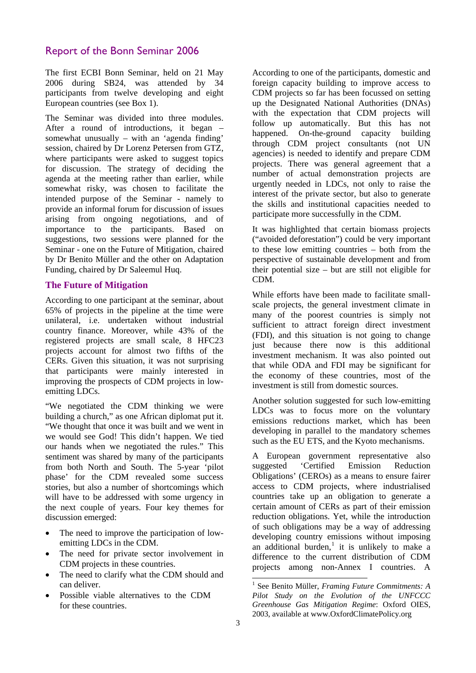# Report of the Bonn Seminar 2006

The first ECBI Bonn Seminar, held on 21 May 2006 during SB24, was attended by 34 participants from twelve developing and eight European countries (see Box 1).

The Seminar was divided into three modules. After a round of introductions, it began – somewhat unusually – with an 'agenda finding' session, chaired by Dr Lorenz Petersen from GTZ, where participants were asked to suggest topics for discussion. The strategy of deciding the agenda at the meeting rather than earlier, while somewhat risky, was chosen to facilitate the intended purpose of the Seminar - namely to provide an informal forum for discussion of issues arising from ongoing negotiations, and of importance to the participants. Based on suggestions, two sessions were planned for the Seminar - one on the Future of Mitigation, chaired by Dr Benito Müller and the other on Adaptation Funding, chaired by Dr Saleemul Huq.

# **The Future of Mitigation**

According to one participant at the seminar, about 65% of projects in the pipeline at the time were unilateral, i.e. undertaken without industrial country finance. Moreover, while 43% of the registered projects are small scale, 8 HFC23 projects account for almost two fifths of the CERs. Given this situation, it was not surprising that participants were mainly interested in improving the prospects of CDM projects in lowemitting LDCs.

"We negotiated the CDM thinking we were building a church," as one African diplomat put it. "We thought that once it was built and we went in we would see God! This didn't happen. We tied our hands when we negotiated the rules." This sentiment was shared by many of the participants from both North and South. The 5-year 'pilot phase' for the CDM revealed some success stories, but also a number of shortcomings which will have to be addressed with some urgency in the next couple of years. Four key themes for discussion emerged:

- The need to improve the participation of lowemitting LDCs in the CDM.
- The need for private sector involvement in CDM projects in these countries.
- The need to clarify what the CDM should and can deliver.
- <span id="page-2-0"></span>• Possible viable alternatives to the CDM for these countries.

According to one of the participants, domestic and foreign capacity building to improve access to CDM projects so far has been focussed on setting up the Designated National Authorities (DNAs) with the expectation that CDM projects will follow up automatically. But this has not happened. On-the-ground capacity building through CDM project consultants (not UN agencies) is needed to identify and prepare CDM projects. There was general agreement that a number of actual demonstration projects are urgently needed in LDCs, not only to raise the interest of the private sector, but also to generate the skills and institutional capacities needed to participate more successfully in the CDM.

It was highlighted that certain biomass projects ("avoided deforestation") could be very important to these low emitting countries – both from the perspective of sustainable development and from their potential size – but are still not eligible for CDM.

While efforts have been made to facilitate smallscale projects, the general investment climate in many of the poorest countries is simply not sufficient to attract foreign direct investment (FDI), and this situation is not going to change just because there now is this additional investment mechanism. It was also pointed out that while ODA and FDI may be significant for the economy of these countries, most of the investment is still from domestic sources.

Another solution suggested for such low-emitting LDCs was to focus more on the voluntary emissions reductions market, which has been developing in parallel to the mandatory schemes such as the EU ETS, and the Kyoto mechanisms.

A European government representative also suggested 'Certified Emission Reduction Obligations' (CEROs) as a means to ensure fairer access to CDM projects, where industrialised countries take up an obligation to generate a certain amount of CERs as part of their emission reduction obligations. Yet, while the introduction of such obligations may be a way of addressing developing country emissions without imposing an additional burden,<sup>[1](#page-2-0)</sup> it is unlikely to make a difference to the current distribution of CDM projects among non-Annex I countries. A

1

<sup>1</sup> See Benito Müller, *Framing Future Commitments: A Pilot Study on the Evolution of the UNFCCC Greenhouse Gas Mitigation Regime*: Oxford OIES, 2003, available at www.OxfordClimatePolicy.org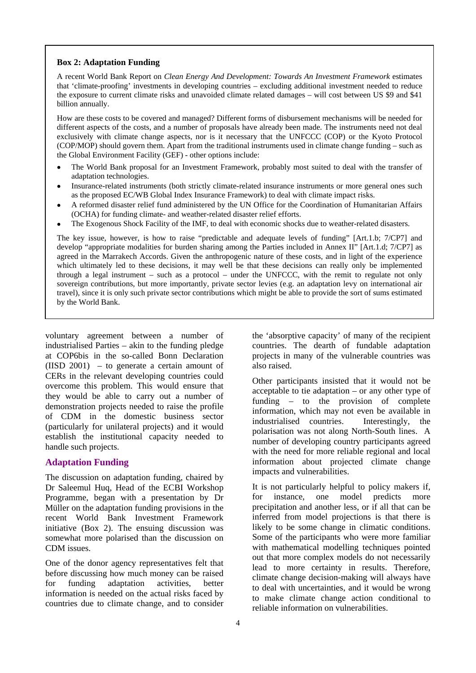#### **Box 2: Adaptation Funding**

A recent World Bank Report on *Clean Energy And Development: Towards An Investment Framework* estimates that 'climate-proofing' investments in developing countries – excluding additional investment needed to reduce the exposure to current climate risks and unavoided climate related damages – will cost between US \$9 and \$41 billion annually.

How are these costs to be covered and managed? Different forms of disbursement mechanisms will be needed for different aspects of the costs, and a number of proposals have already been made. The instruments need not deal exclusively with climate change aspects, nor is it necessary that the UNFCCC (COP) or the Kyoto Protocol (COP/MOP) should govern them. Apart from the traditional instruments used in climate change funding – such as the Global Environment Facility (GEF) - other options include:

- The World Bank proposal for an Investment Framework, probably most suited to deal with the transfer of adaptation technologies.
- Insurance-related instruments (both strictly climate-related insurance instruments or more general ones such as the proposed EC/WB Global Index Insurance Framework) to deal with climate impact risks.
- A reformed disaster relief fund administered by the UN Office for the Coordination of Humanitarian Affairs (OCHA) for funding climate- and weather-related disaster relief efforts.
- The Exogenous Shock Facility of the IMF, to deal with economic shocks due to weather-related disasters.

The key issue, however, is how to raise "predictable and adequate levels of funding" [Art.1.b; 7/CP7] and develop "appropriate modalities for burden sharing among the Parties included in Annex II" [Art.1.d; 7/CP7] as agreed in the Marrakech Accords. Given the anthropogenic nature of these costs, and in light of the experience which ultimately led to these decisions, it may well be that these decisions can really only be implemented through a legal instrument – such as a protocol – under the UNFCCC, with the remit to regulate not only sovereign contributions, but more importantly, private sector levies (e.g. an adaptation levy on international air travel), since it is only such private sector contributions which might be able to provide the sort of sums estimated by the World Bank.

voluntary agreement between a number of industrialised Parties – akin to the funding pledge at COP6bis in the so-called Bonn Declaration (IISD 2001) – to generate a certain amount of CERs in the relevant developing countries could overcome this problem. This would ensure that they would be able to carry out a number of demonstration projects needed to raise the profile of CDM in the domestic business sector (particularly for unilateral projects) and it would establish the institutional capacity needed to handle such projects.

#### **Adaptation Funding**

The discussion on adaptation funding, chaired by Dr Saleemul Huq, Head of the ECBI Workshop Programme, began with a presentation by Dr Müller on the adaptation funding provisions in the recent World Bank Investment Framework initiative (Box 2). The ensuing discussion was somewhat more polarised than the discussion on CDM issues.

One of the donor agency representatives felt that before discussing how much money can be raised for funding adaptation activities, better information is needed on the actual risks faced by countries due to climate change, and to consider

the 'absorptive capacity' of many of the recipient countries. The dearth of fundable adaptation projects in many of the vulnerable countries was also raised.

Other participants insisted that it would not be acceptable to tie adaptation – or any other type of funding – to the provision of complete information, which may not even be available in industrialised countries. Interestingly, the polarisation was not along North-South lines. A number of developing country participants agreed with the need for more reliable regional and local information about projected climate change impacts and vulnerabilities.

It is not particularly helpful to policy makers if, for instance, one model predicts more precipitation and another less, or if all that can be inferred from model projections is that there is likely to be some change in climatic conditions. Some of the participants who were more familiar with mathematical modelling techniques pointed out that more complex models do not necessarily lead to more certainty in results. Therefore, climate change decision-making will always have to deal with uncertainties, and it would be wrong to make climate change action conditional to reliable information on vulnerabilities.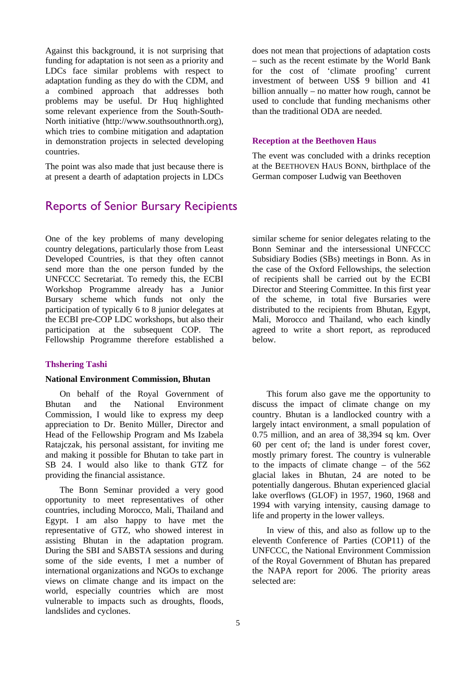Against this background, it is not surprising that funding for adaptation is not seen as a priority and LDCs face similar problems with respect to adaptation funding as they do with the CDM, and a combined approach that addresses both problems may be useful. Dr Huq highlighted some relevant experience from the South-South-North initiative (http://www.southsouthnorth.org), which tries to combine mitigation and adaptation in demonstration projects in selected developing countries.

The point was also made that just because there is at present a dearth of adaptation projects in LDCs

# Reports of Senior Bursary Recipients

does not mean that projections of adaptation costs – such as the recent estimate by the World Bank for the cost of 'climate proofing' current investment of between US\$ 9 billion and 41 billion annually – no matter how rough, cannot be used to conclude that funding mechanisms other than the traditional ODA are needed.

#### **Reception at the Beethoven Haus**

The event was concluded with a drinks reception at the BEETHOVEN HAUS BONN, birthplace of the German composer Ludwig van Beethoven

One of the key problems of many developing country delegations, particularly those from Least Developed Countries, is that they often cannot send more than the one person funded by the UNFCCC Secretariat. To remedy this, the ECBI Workshop Programme already has a Junior Bursary scheme which funds not only the participation of typically 6 to 8 junior delegates at the ECBI pre-COP LDC workshops, but also their participation at the subsequent COP. The Fellowship Programme therefore established a

#### **Thshering Tashi**

#### **National Environment Commission, Bhutan**

On behalf of the Royal Government of Bhutan and the National Environment Commission, I would like to express my deep appreciation to Dr. Benito Müller, Director and Head of the Fellowship Program and Ms Izabela Ratajczak, his personal assistant, for inviting me and making it possible for Bhutan to take part in SB 24. I would also like to thank GTZ for providing the financial assistance.

The Bonn Seminar provided a very good opportunity to meet representatives of other countries, including Morocco, Mali, Thailand and Egypt. I am also happy to have met the representative of GTZ, who showed interest in assisting Bhutan in the adaptation program. During the SBI and SABSTA sessions and during some of the side events, I met a number of international organizations and NGOs to exchange views on climate change and its impact on the world, especially countries which are most vulnerable to impacts such as droughts, floods, landslides and cyclones.

similar scheme for senior delegates relating to the Bonn Seminar and the intersessional UNFCCC Subsidiary Bodies (SBs) meetings in Bonn. As in the case of the Oxford Fellowships, the selection of recipients shall be carried out by the ECBI Director and Steering Committee. In this first year of the scheme, in total five Bursaries were distributed to the recipients from Bhutan, Egypt, Mali, Morocco and Thailand, who each kindly agreed to write a short report, as reproduced below.

This forum also gave me the opportunity to discuss the impact of climate change on my country. Bhutan is a landlocked country with a largely intact environment, a small population of 0.75 million, and an area of 38,394 sq km. Over 60 per cent of; the land is under forest cover, mostly primary forest. The country is vulnerable to the impacts of climate change – of the 562 glacial lakes in Bhutan, 24 are noted to be potentially dangerous. Bhutan experienced glacial lake overflows (GLOF) in 1957, 1960, 1968 and 1994 with varying intensity, causing damage to life and property in the lower valleys.

In view of this, and also as follow up to the eleventh Conference of Parties (COP11) of the UNFCCC, the National Environment Commission of the Royal Government of Bhutan has prepared the NAPA report for 2006. The priority areas selected are: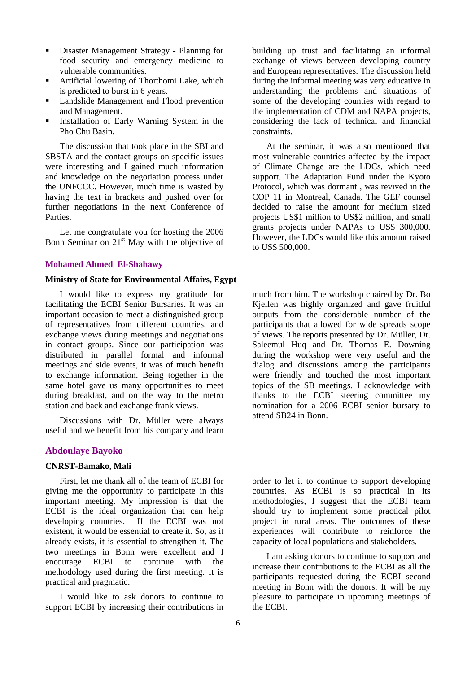- Disaster Management Strategy Planning for food security and emergency medicine to vulnerable communities.
- Artificial lowering of Thorthomi Lake, which is predicted to burst in 6 years.
- **Landslide Management and Flood prevention** and Management.
- Installation of Early Warning System in the Pho Chu Basin.

The discussion that took place in the SBI and SBSTA and the contact groups on specific issues were interesting and I gained much information and knowledge on the negotiation process under the UNFCCC. However, much time is wasted by having the text in brackets and pushed over for further negotiations in the next Conference of Parties.

Let me congratulate you for hosting the 2006 Bonn Seminar on  $21<sup>st</sup>$  May with the objective of

#### **Mohamed Ahmed El-Shahawy**

# **Ministry of State for Environmental Affairs, Egypt**

I would like to express my gratitude for facilitating the ECBI Senior Bursaries. It was an important occasion to meet a distinguished group of representatives from different countries, and exchange views during meetings and negotiations in contact groups. Since our participation was distributed in parallel formal and informal meetings and side events, it was of much benefit to exchange information. Being together in the same hotel gave us many opportunities to meet during breakfast, and on the way to the metro station and back and exchange frank views.

Discussions with Dr. Müller were always useful and we benefit from his company and learn

# **Abdoulaye Bayoko**

# **CNRST-Bamako, Mali**

First, let me thank all of the team of ECBI for giving me the opportunity to participate in this important meeting. My impression is that the ECBI is the ideal organization that can help developing countries. If the ECBI was not existent, it would be essential to create it. So, as it already exists, it is essential to strengthen it. The two meetings in Bonn were excellent and I encourage ECBI to continue with the methodology used during the first meeting. It is practical and pragmatic.

I would like to ask donors to continue to support ECBI by increasing their contributions in

building up trust and facilitating an informal exchange of views between developing country and European representatives. The discussion held during the informal meeting was very educative in understanding the problems and situations of some of the developing counties with regard to the implementation of CDM and NAPA projects, considering the lack of technical and financial constraints.

At the seminar, it was also mentioned that most vulnerable countries affected by the impact of Climate Change are the LDCs, which need support. The Adaptation Fund under the Kyoto Protocol, which was dormant , was revived in the COP 11 in Montreal, Canada. The GEF counsel decided to raise the amount for medium sized projects US\$1 million to US\$2 million, and small grants projects under NAPAs to US\$ 300,000. However, the LDCs would like this amount raised to US\$ 500,000.

much from him. The workshop chaired by Dr. Bo Kjellen was highly organized and gave fruitful outputs from the considerable number of the participants that allowed for wide spreads scope of views. The reports presented by Dr. Müller, Dr. Saleemul Huq and Dr. Thomas E. Downing during the workshop were very useful and the dialog and discussions among the participants were friendly and touched the most important topics of the SB meetings. I acknowledge with thanks to the ECBI steering committee my nomination for a 2006 ECBI senior bursary to attend SB24 in Bonn.

order to let it to continue to support developing countries. As ECBI is so practical in its methodologies, I suggest that the ECBI team should try to implement some practical pilot project in rural areas. The outcomes of these experiences will contribute to reinforce the capacity of local populations and stakeholders.

I am asking donors to continue to support and increase their contributions to the ECBI as all the participants requested during the ECBI second meeting in Bonn with the donors. It will be my pleasure to participate in upcoming meetings of the ECBI.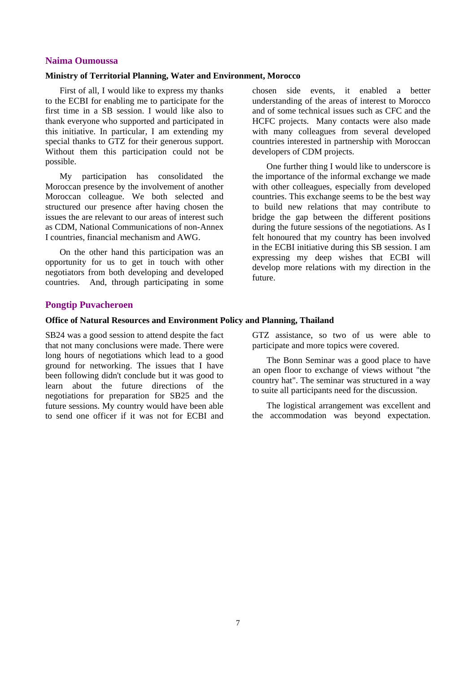### **Naima Oumoussa**

#### **Ministry of Territorial Planning, Water and Environment, Morocco**

First of all, I would like to express my thanks to the ECBI for enabling me to participate for the first time in a SB session. I would like also to thank everyone who supported and participated in this initiative. In particular, I am extending my special thanks to GTZ for their generous support. Without them this participation could not be possible.

My participation has consolidated the Moroccan presence by the involvement of another Moroccan colleague. We both selected and structured our presence after having chosen the issues the are relevant to our areas of interest such as CDM, National Communications of non-Annex I countries, financial mechanism and AWG.

On the other hand this participation was an opportunity for us to get in touch with other negotiators from both developing and developed countries. And, through participating in some

chosen side events, it enabled a better understanding of the areas of interest to Morocco and of some technical issues such as CFC and the HCFC projects. Many contacts were also made with many colleagues from several developed countries interested in partnership with Moroccan developers of CDM projects.

One further thing I would like to underscore is the importance of the informal exchange we made with other colleagues, especially from developed countries. This exchange seems to be the best way to build new relations that may contribute to bridge the gap between the different positions during the future sessions of the negotiations. As I felt honoured that my country has been involved in the ECBI initiative during this SB session. I am expressing my deep wishes that ECBI will develop more relations with my direction in the future.

## **Pongtip Puvacheroen**

# **Office of Natural Resources and Environment Policy and Planning, Thailand**

SB24 was a good session to attend despite the fact that not many conclusions were made. There were long hours of negotiations which lead to a good ground for networking. The issues that I have been following didn't conclude but it was good to learn about the future directions of the negotiations for preparation for SB25 and the future sessions. My country would have been able to send one officer if it was not for ECBI and GTZ assistance, so two of us were able to participate and more topics were covered.

The Bonn Seminar was a good place to have an open floor to exchange of views without "the country hat". The seminar was structured in a way to suite all participants need for the discussion.

The logistical arrangement was excellent and the accommodation was beyond expectation.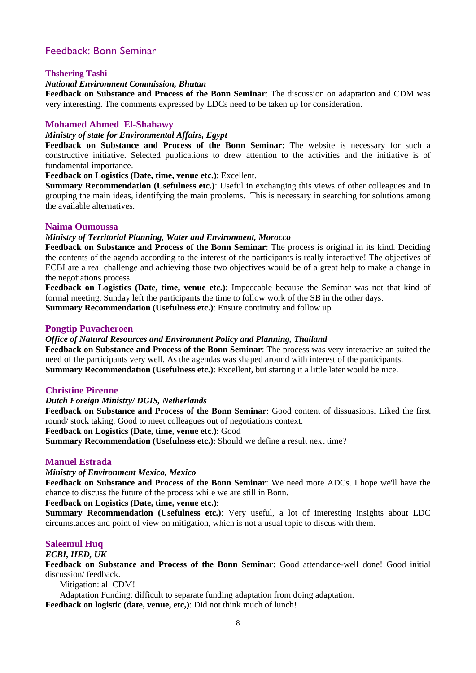# Feedback: Bonn Seminar

### **Thshering Tashi**

#### *National Environment Commission, Bhutan*

**Feedback on Substance and Process of the Bonn Seminar**: The discussion on adaptation and CDM was very interesting. The comments expressed by LDCs need to be taken up for consideration.

#### **Mohamed Ahmed El-Shahawy**

#### *Ministry of state for Environmental Affairs, Egypt*

**Feedback on Substance and Process of the Bonn Seminar**: The website is necessary for such a constructive initiative. Selected publications to drew attention to the activities and the initiative is of fundamental importance.

## **Feedback on Logistics (Date, time, venue etc.)**: Excellent.

**Summary Recommendation (Usefulness etc.)**: Useful in exchanging this views of other colleagues and in grouping the main ideas, identifying the main problems. This is necessary in searching for solutions among the available alternatives.

# **Naima Oumoussa**

# *Ministry of Territorial Planning, Water and Environment, Morocco*

**Feedback on Substance and Process of the Bonn Seminar**: The process is original in its kind. Deciding the contents of the agenda according to the interest of the participants is really interactive! The objectives of ECBI are a real challenge and achieving those two objectives would be of a great help to make a change in the negotiations process.

**Feedback on Logistics (Date, time, venue etc.)**: Impeccable because the Seminar was not that kind of formal meeting. Sunday left the participants the time to follow work of the SB in the other days.

**Summary Recommendation (Usefulness etc.)**: Ensure continuity and follow up.

# **Pongtip Puvacheroen**

# *Office of Natural Resources and Environment Policy and Planning, Thailand*

**Feedback on Substance and Process of the Bonn Seminar**: The process was very interactive an suited the need of the participants very well. As the agendas was shaped around with interest of the participants. **Summary Recommendation (Usefulness etc.)**: Excellent, but starting it a little later would be nice.

#### **Christine Pirenne**

#### *Dutch Foreign Ministry/ DGIS, Netherlands*

**Feedback on Substance and Process of the Bonn Seminar**: Good content of dissuasions. Liked the first round/ stock taking. Good to meet colleagues out of negotiations context.

**Feedback on Logistics (Date, time, venue etc.)**: Good

**Summary Recommendation (Usefulness etc.)**: Should we define a result next time?

# **Manuel Estrada**

#### *Ministry of Environment Mexico, Mexico*

**Feedback on Substance and Process of the Bonn Seminar**: We need more ADCs. I hope we'll have the chance to discuss the future of the process while we are still in Bonn.

**Feedback on Logistics (Date, time, venue etc.)**:

**Summary Recommendation (Usefulness etc.)**: Very useful, a lot of interesting insights about LDC circumstances and point of view on mitigation, which is not a usual topic to discus with them.

# **Saleemul Huq**

# *ECBI, IIED, UK*

**Feedback on Substance and Process of the Bonn Seminar**: Good attendance-well done! Good initial discussion/ feedback.

Mitigation: all CDM!

Adaptation Funding: difficult to separate funding adaptation from doing adaptation. **Feedback on logistic (date, venue, etc,)**: Did not think much of lunch!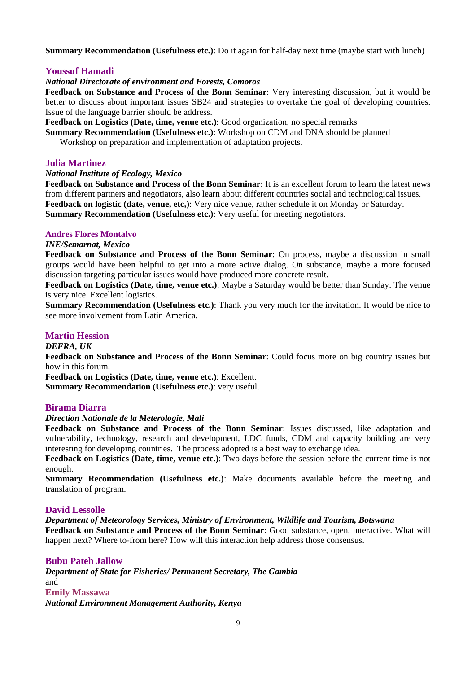**Summary Recommendation (Usefulness etc.)**: Do it again for half-day next time (maybe start with lunch)

# **Youssuf Hamadi**

# *National Directorate of environment and Forests, Comoros*

**Feedback on Substance and Process of the Bonn Seminar**: Very interesting discussion, but it would be better to discuss about important issues SB24 and strategies to overtake the goal of developing countries. Issue of the language barrier should be address.

**Feedback on Logistics (Date, time, venue etc.)**: Good organization, no special remarks

**Summary Recommendation (Usefulness etc.)**: Workshop on CDM and DNA should be planned Workshop on preparation and implementation of adaptation projects.

# **Julia Martinez**

# *National Institute of Ecology, Mexico*

**Feedback on Substance and Process of the Bonn Seminar**: It is an excellent forum to learn the latest news from different partners and negotiators, also learn about different countries social and technological issues. **Feedback on logistic (date, venue, etc,)**: Very nice venue, rather schedule it on Monday or Saturday. **Summary Recommendation (Usefulness etc.)**: Very useful for meeting negotiators.

# **Andres Flores Montalvo**

# *INE/Semarnat, Mexico*

**Feedback on Substance and Process of the Bonn Seminar**: On process, maybe a discussion in small groups would have been helpful to get into a more active dialog. On substance, maybe a more focused discussion targeting particular issues would have produced more concrete result.

**Feedback on Logistics (Date, time, venue etc.)**: Maybe a Saturday would be better than Sunday. The venue is very nice. Excellent logistics.

**Summary Recommendation (Usefulness etc.)**: Thank you very much for the invitation. It would be nice to see more involvement from Latin America.

# **Martin Hession**

# *DEFRA, UK*

**Feedback on Substance and Process of the Bonn Seminar**: Could focus more on big country issues but how in this forum.

**Feedback on Logistics (Date, time, venue etc.)**: Excellent. **Summary Recommendation (Usefulness etc.)**: very useful.

# **Birama Diarra**

# *Direction Nationale de la Meterologie, Mali*

**Feedback on Substance and Process of the Bonn Seminar**: Issues discussed, like adaptation and vulnerability, technology, research and development, LDC funds, CDM and capacity building are very interesting for developing countries. The process adopted is a best way to exchange idea.

**Feedback on Logistics (Date, time, venue etc.)**: Two days before the session before the current time is not enough.

**Summary Recommendation (Usefulness etc.)**: Make documents available before the meeting and translation of program.

# **David Lessolle**

*Department of Meteorology Services, Ministry of Environment, Wildlife and Tourism, Botswana* 

**Feedback on Substance and Process of the Bonn Seminar**: Good substance, open, interactive. What will happen next? Where to-from here? How will this interaction help address those consensus.

#### **Bubu Pateh Jallow**

*Department of State for Fisheries/ Permanent Secretary, The Gambia*  and **Emily Massawa**  *National Environment Management Authority, Kenya*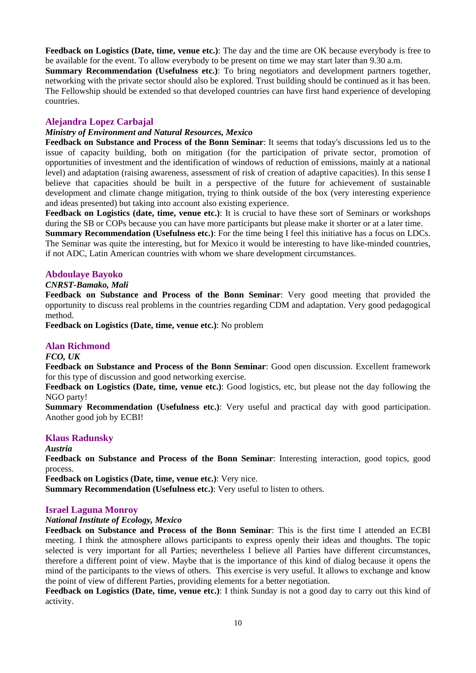**Feedback on Logistics (Date, time, venue etc.)**: The day and the time are OK because everybody is free to be available for the event. To allow everybody to be present on time we may start later than 9.30 a.m. **Summary Recommendation (Usefulness etc.)**: To bring negotiators and development partners together, networking with the private sector should also be explored. Trust building should be continued as it has been. The Fellowship should be extended so that developed countries can have first hand experience of developing countries.

# **Alejandra Lopez Carbajal**

# *Ministry of Environment and Natural Resources, Mexico*

**Feedback on Substance and Process of the Bonn Seminar**: It seems that today's discussions led us to the issue of capacity building, both on mitigation (for the participation of private sector, promotion of opportunities of investment and the identification of windows of reduction of emissions, mainly at a national level) and adaptation (raising awareness, assessment of risk of creation of adaptive capacities). In this sense I believe that capacities should be built in a perspective of the future for achievement of sustainable development and climate change mitigation, trying to think outside of the box (very interesting experience and ideas presented) but taking into account also existing experience.

**Feedback on Logistics (date, time, venue etc.)**: It is crucial to have these sort of Seminars or workshops during the SB or COPs because you can have more participants but please make it shorter or at a later time.

**Summary Recommendation (Usefulness etc.)**: For the time being I feel this initiative has a focus on LDCs. The Seminar was quite the interesting, but for Mexico it would be interesting to have like-minded countries, if not ADC, Latin American countries with whom we share development circumstances.

# **Abdoulaye Bayoko**

# *CNRST-Bamako, Mali*

**Feedback on Substance and Process of the Bonn Seminar**: Very good meeting that provided the opportunity to discuss real problems in the countries regarding CDM and adaptation. Very good pedagogical method.

**Feedback on Logistics (Date, time, venue etc.)**: No problem

# **Alan Richmond**

# *FCO, UK*

**Feedback on Substance and Process of the Bonn Seminar**: Good open discussion. Excellent framework for this type of discussion and good networking exercise.

**Feedback on Logistics (Date, time, venue etc.)**: Good logistics, etc, but please not the day following the NGO party!

**Summary Recommendation (Usefulness etc.)**: Very useful and practical day with good participation. Another good job by ECBI!

# **Klaus Radunsky**

# *Austria*

**Feedback on Substance and Process of the Bonn Seminar**: Interesting interaction, good topics, good process.

**Feedback on Logistics (Date, time, venue etc.)**: Very nice.

**Summary Recommendation (Usefulness etc.)**: Very useful to listen to others.

# **Israel Laguna Monroy**

# *National Institute of Ecology, Mexico*

**Feedback on Substance and Process of the Bonn Seminar**: This is the first time I attended an ECBI meeting. I think the atmosphere allows participants to express openly their ideas and thoughts. The topic selected is very important for all Parties; nevertheless I believe all Parties have different circumstances, therefore a different point of view. Maybe that is the importance of this kind of dialog because it opens the mind of the participants to the views of others. This exercise is very useful. It allows to exchange and know the point of view of different Parties, providing elements for a better negotiation.

**Feedback on Logistics (Date, time, venue etc.)**: I think Sunday is not a good day to carry out this kind of activity.